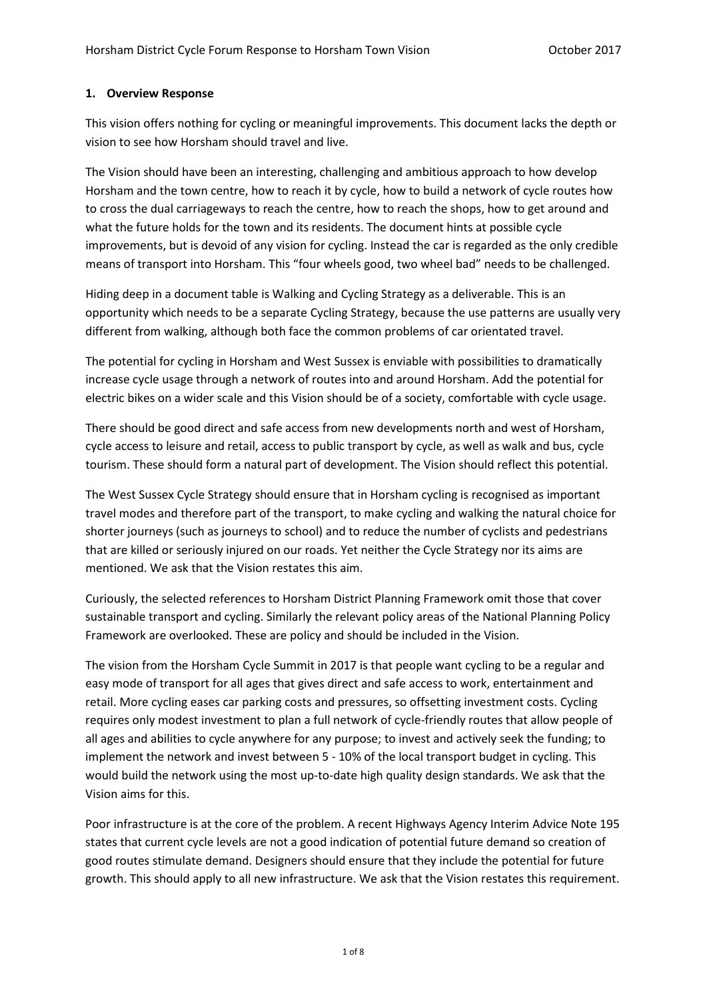## **1. Overview Response**

This vision offers nothing for cycling or meaningful improvements. This document lacks the depth or vision to see how Horsham should travel and live.

The Vision should have been an interesting, challenging and ambitious approach to how develop Horsham and the town centre, how to reach it by cycle, how to build a network of cycle routes how to cross the dual carriageways to reach the centre, how to reach the shops, how to get around and what the future holds for the town and its residents. The document hints at possible cycle improvements, but is devoid of any vision for cycling. Instead the car is regarded as the only credible means of transport into Horsham. This "four wheels good, two wheel bad" needs to be challenged.

Hiding deep in a document table is Walking and Cycling Strategy as a deliverable. This is an opportunity which needs to be a separate Cycling Strategy, because the use patterns are usually very different from walking, although both face the common problems of car orientated travel.

The potential for cycling in Horsham and West Sussex is enviable with possibilities to dramatically increase cycle usage through a network of routes into and around Horsham. Add the potential for electric bikes on a wider scale and this Vision should be of a society, comfortable with cycle usage.

There should be good direct and safe access from new developments north and west of Horsham, cycle access to leisure and retail, access to public transport by cycle, as well as walk and bus, cycle tourism. These should form a natural part of development. The Vision should reflect this potential.

The West Sussex Cycle Strategy should ensure that in Horsham cycling is recognised as important travel modes and therefore part of the transport, to make cycling and walking the natural choice for shorter journeys (such as journeys to school) and to reduce the number of cyclists and pedestrians that are killed or seriously injured on our roads. Yet neither the Cycle Strategy nor its aims are mentioned. We ask that the Vision restates this aim.

Curiously, the selected references to Horsham District Planning Framework omit those that cover sustainable transport and cycling. Similarly the relevant policy areas of the National Planning Policy Framework are overlooked. These are policy and should be included in the Vision.

The vision from the Horsham Cycle Summit in 2017 is that people want cycling to be a regular and easy mode of transport for all ages that gives direct and safe access to work, entertainment and retail. More cycling eases car parking costs and pressures, so offsetting investment costs. Cycling requires only modest investment to plan a full network of cycle-friendly routes that allow people of all ages and abilities to cycle anywhere for any purpose; to invest and actively seek the funding; to implement the network and invest between 5 - 10% of the local transport budget in cycling. This would build the network using the most up-to-date high quality design standards. We ask that the Vision aims for this.

Poor infrastructure is at the core of the problem. A recent Highways Agency Interim Advice Note 195 states that current cycle levels are not a good indication of potential future demand so creation of good routes stimulate demand. Designers should ensure that they include the potential for future growth. This should apply to all new infrastructure. We ask that the Vision restates this requirement.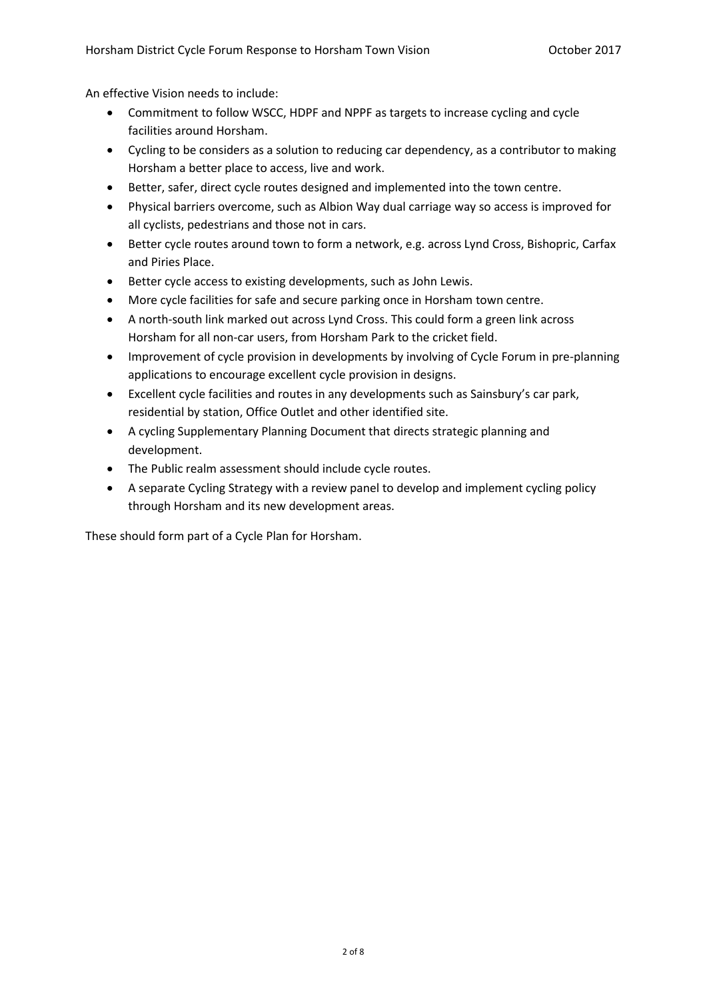An effective Vision needs to include:

- Commitment to follow WSCC, HDPF and NPPF as targets to increase cycling and cycle facilities around Horsham.
- Cycling to be considers as a solution to reducing car dependency, as a contributor to making Horsham a better place to access, live and work.
- Better, safer, direct cycle routes designed and implemented into the town centre.
- Physical barriers overcome, such as Albion Way dual carriage way so access is improved for all cyclists, pedestrians and those not in cars.
- Better cycle routes around town to form a network, e.g. across Lynd Cross, Bishopric, Carfax and Piries Place.
- Better cycle access to existing developments, such as John Lewis.
- More cycle facilities for safe and secure parking once in Horsham town centre.
- A north-south link marked out across Lynd Cross. This could form a green link across Horsham for all non-car users, from Horsham Park to the cricket field.
- Improvement of cycle provision in developments by involving of Cycle Forum in pre-planning applications to encourage excellent cycle provision in designs.
- Excellent cycle facilities and routes in any developments such as Sainsbury's car park, residential by station, Office Outlet and other identified site.
- A cycling Supplementary Planning Document that directs strategic planning and development.
- The Public realm assessment should include cycle routes.
- A separate Cycling Strategy with a review panel to develop and implement cycling policy through Horsham and its new development areas.

These should form part of a Cycle Plan for Horsham.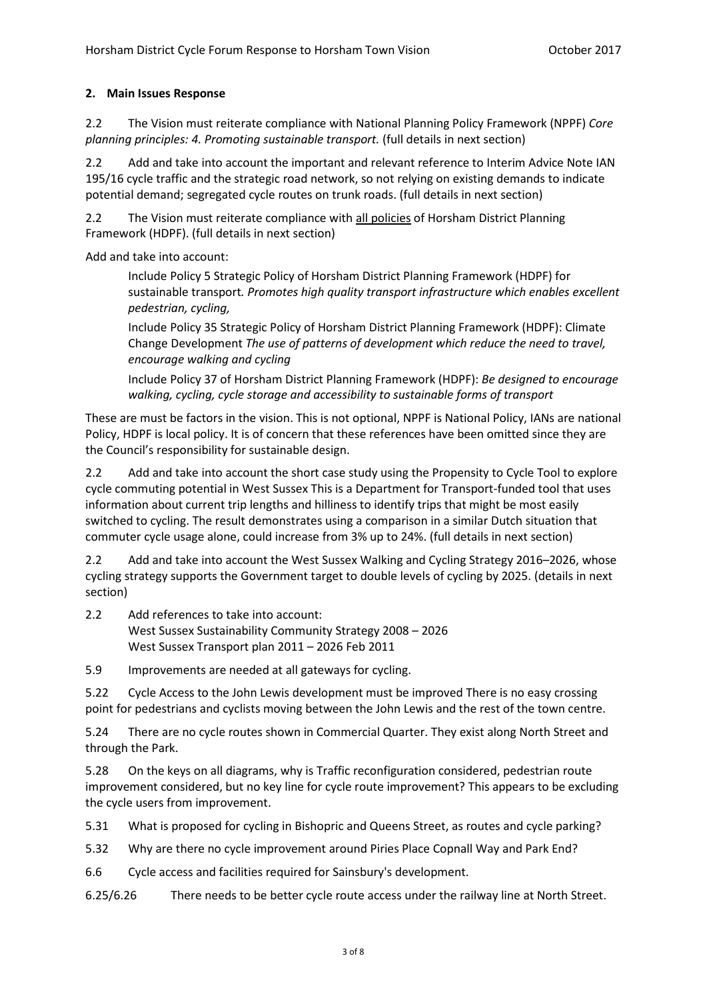# **2. Main Issues Response**

2.2 The Vision must reiterate compliance with National Planning Policy Framework (NPPF) *Core planning principles: 4. Promoting sustainable transport.* (full details in next section)

2.2 Add and take into account the important and relevant reference to Interim Advice Note IAN 195/16 cycle traffic and the strategic road network, so not relying on existing demands to indicate potential demand; segregated cycle routes on trunk roads. (full details in next section)

2.2 The Vision must reiterate compliance with all policies of Horsham District Planning Framework (HDPF). (full details in next section)

Add and take into account:

Include Policy 5 Strategic Policy of Horsham District Planning Framework (HDPF) for sustainable transport*. Promotes high quality transport infrastructure which enables excellent pedestrian, cycling,* 

Include Policy 35 Strategic Policy of Horsham District Planning Framework (HDPF): Climate Change Development *The use of patterns of development which reduce the need to travel, encourage walking and cycling*

Include Policy 37 of Horsham District Planning Framework (HDPF): *Be designed to encourage walking, cycling, cycle storage and accessibility to sustainable forms of transport*

These are must be factors in the vision. This is not optional, NPPF is National Policy, IANs are national Policy, HDPF is local policy. It is of concern that these references have been omitted since they are the Council's responsibility for sustainable design.

2.2 Add and take into account the short case study using the Propensity to Cycle Tool to explore cycle commuting potential in West Sussex This is a Department for Transport-funded tool that uses information about current trip lengths and hilliness to identify trips that might be most easily switched to cycling. The result demonstrates using a comparison in a similar Dutch situation that commuter cycle usage alone, could increase from 3% up to 24%. (full details in next section)

2.2 Add and take into account the West Sussex Walking and Cycling Strategy 2016–2026, whose cycling strategy supports the Government target to double levels of cycling by 2025. (details in next section)

2.2 Add references to take into account: West Sussex Sustainability Community Strategy 2008 – 2026 West Sussex Transport plan 2011 – 2026 Feb 2011

5.9 Improvements are needed at all gateways for cycling.

5.22 Cycle Access to the John Lewis development must be improved There is no easy crossing point for pedestrians and cyclists moving between the John Lewis and the rest of the town centre.

5.24 There are no cycle routes shown in Commercial Quarter. They exist along North Street and through the Park.

5.28 On the keys on all diagrams, why is Traffic reconfiguration considered, pedestrian route improvement considered, but no key line for cycle route improvement? This appears to be excluding the cycle users from improvement.

5.31 What is proposed for cycling in Bishopric and Queens Street, as routes and cycle parking?

5.32 Why are there no cycle improvement around Piries Place Copnall Way and Park End?

6.6 Cycle access and facilities required for Sainsbury's development.

6.25/6.26 There needs to be better cycle route access under the railway line at North Street.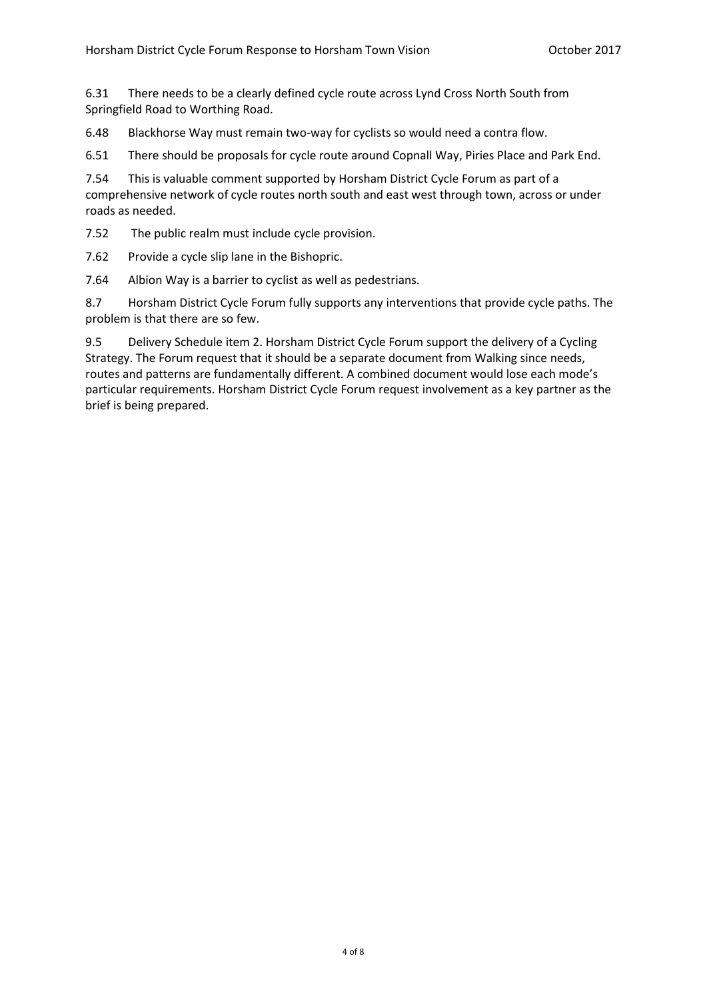6.31 There needs to be a clearly defined cycle route across Lynd Cross North South from Springfield Road to Worthing Road.

6.48 Blackhorse Way must remain two-way for cyclists so would need a contra flow.

6.51 There should be proposals for cycle route around Copnall Way, Piries Place and Park End.

7.54 This is valuable comment supported by Horsham District Cycle Forum as part of a comprehensive network of cycle routes north south and east west through town, across or under roads as needed.

7.52 The public realm must include cycle provision.

7.62 Provide a cycle slip lane in the Bishopric.

7.64 Albion Way is a barrier to cyclist as well as pedestrians.

8.7 Horsham District Cycle Forum fully supports any interventions that provide cycle paths. The problem is that there are so few.

9.5 Delivery Schedule item 2. Horsham District Cycle Forum support the delivery of a Cycling Strategy. The Forum request that it should be a separate document from Walking since needs, routes and patterns are fundamentally different. A combined document would lose each mode's particular requirements. Horsham District Cycle Forum request involvement as a key partner as the brief is being prepared.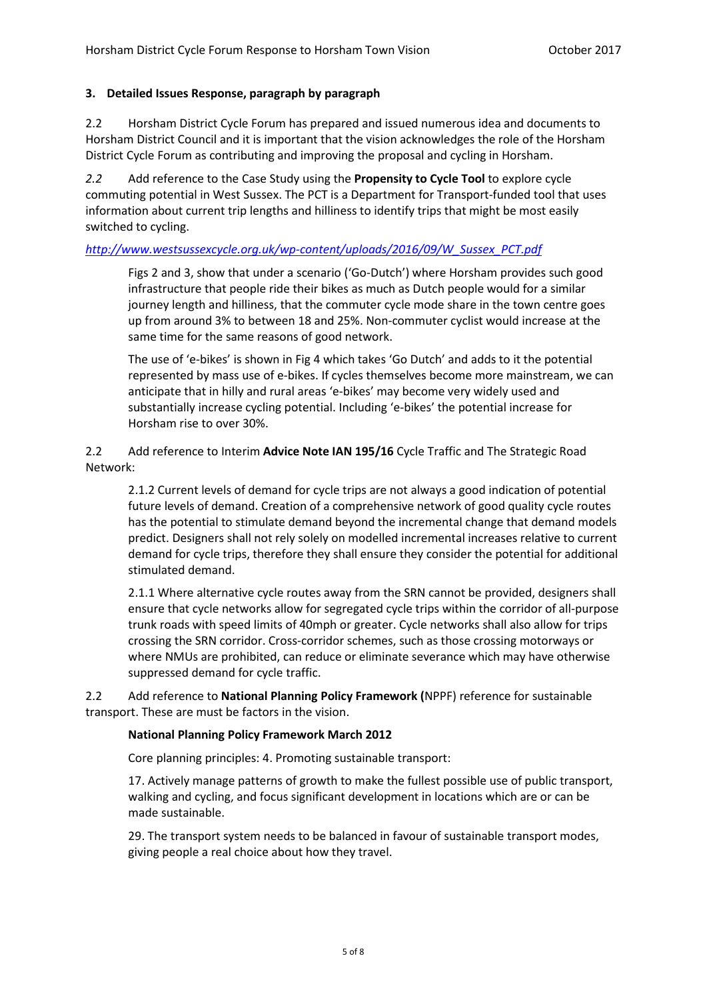### **3. Detailed Issues Response, paragraph by paragraph**

2.2 Horsham District Cycle Forum has prepared and issued numerous idea and documents to Horsham District Council and it is important that the vision acknowledges the role of the Horsham District Cycle Forum as contributing and improving the proposal and cycling in Horsham.

*2.2* Add reference to the Case Study using the **Propensity to Cycle Tool** to explore cycle commuting potential in West Sussex. The PCT is a Department for Transport-funded tool that uses information about current trip lengths and hilliness to identify trips that might be most easily switched to cycling.

### *[http://www.westsussexcycle.org.uk/wp-content/uploads/2016/09/W\\_Sussex\\_PCT.pdf](http://www.westsussexcycle.org.uk/wp-content/uploads/2016/09/W_Sussex_PCT.pdf)*

Figs 2 and 3, show that under a scenario ('Go-Dutch') where Horsham provides such good infrastructure that people ride their bikes as much as Dutch people would for a similar journey length and hilliness, that the commuter cycle mode share in the town centre goes up from around 3% to between 18 and 25%. Non-commuter cyclist would increase at the same time for the same reasons of good network.

The use of 'e-bikes' is shown in Fig 4 which takes 'Go Dutch' and adds to it the potential represented by mass use of e-bikes. If cycles themselves become more mainstream, we can anticipate that in hilly and rural areas 'e-bikes' may become very widely used and substantially increase cycling potential. Including 'e-bikes' the potential increase for Horsham rise to over 30%.

## 2.2 Add reference to Interim **Advice Note IAN 195/16** Cycle Traffic and The Strategic Road Network:

2.1.2 Current levels of demand for cycle trips are not always a good indication of potential future levels of demand. Creation of a comprehensive network of good quality cycle routes has the potential to stimulate demand beyond the incremental change that demand models predict. Designers shall not rely solely on modelled incremental increases relative to current demand for cycle trips, therefore they shall ensure they consider the potential for additional stimulated demand.

2.1.1 Where alternative cycle routes away from the SRN cannot be provided, designers shall ensure that cycle networks allow for segregated cycle trips within the corridor of all-purpose trunk roads with speed limits of 40mph or greater. Cycle networks shall also allow for trips crossing the SRN corridor. Cross-corridor schemes, such as those crossing motorways or where NMUs are prohibited, can reduce or eliminate severance which may have otherwise suppressed demand for cycle traffic.

2.2 Add reference to **National Planning Policy Framework (**NPPF) reference for sustainable transport. These are must be factors in the vision.

#### **National Planning Policy Framework March 2012**

Core planning principles: 4. Promoting sustainable transport:

17. Actively manage patterns of growth to make the fullest possible use of public transport, walking and cycling, and focus significant development in locations which are or can be made sustainable.

29. The transport system needs to be balanced in favour of sustainable transport modes, giving people a real choice about how they travel.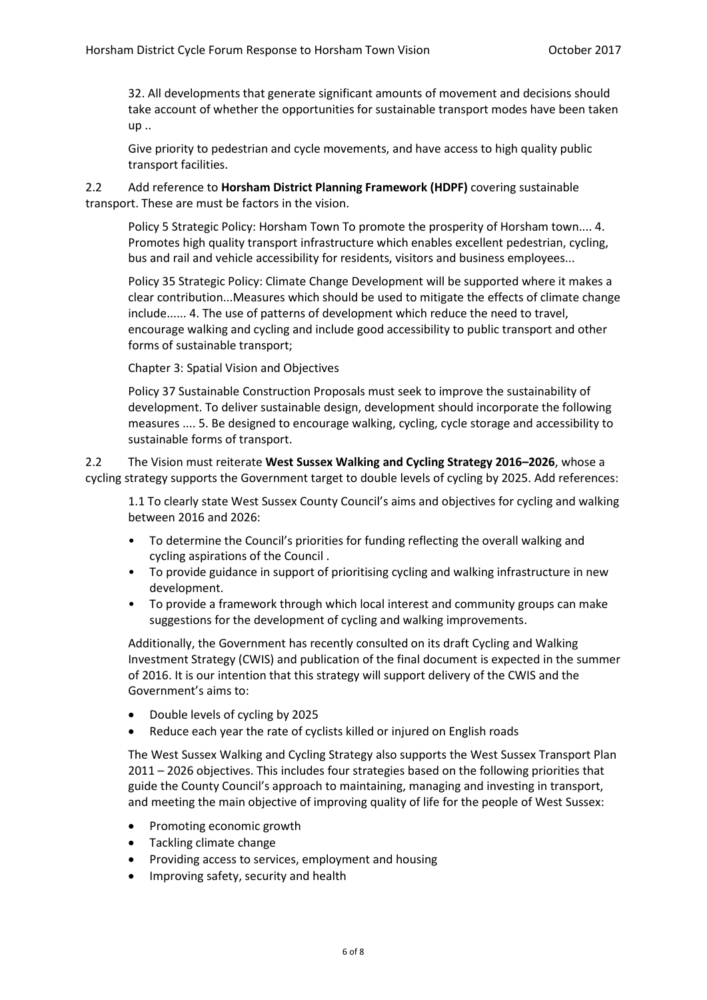32. All developments that generate significant amounts of movement and decisions should take account of whether the opportunities for sustainable transport modes have been taken up ..

Give priority to pedestrian and cycle movements, and have access to high quality public transport facilities.

2.2 Add reference to **Horsham District Planning Framework (HDPF)** covering sustainable transport. These are must be factors in the vision.

Policy 5 Strategic Policy: Horsham Town To promote the prosperity of Horsham town.... 4. Promotes high quality transport infrastructure which enables excellent pedestrian, cycling, bus and rail and vehicle accessibility for residents, visitors and business employees...

Policy 35 Strategic Policy: Climate Change Development will be supported where it makes a clear contribution...Measures which should be used to mitigate the effects of climate change include...... 4. The use of patterns of development which reduce the need to travel, encourage walking and cycling and include good accessibility to public transport and other forms of sustainable transport;

Chapter 3: Spatial Vision and Objectives

Policy 37 Sustainable Construction Proposals must seek to improve the sustainability of development. To deliver sustainable design, development should incorporate the following measures .... 5. Be designed to encourage walking, cycling, cycle storage and accessibility to sustainable forms of transport.

2.2 The Vision must reiterate **West Sussex Walking and Cycling Strategy 2016–2026**, whose a cycling strategy supports the Government target to double levels of cycling by 2025. Add references:

1.1 To clearly state West Sussex County Council's aims and objectives for cycling and walking between 2016 and 2026:

- To determine the Council's priorities for funding reflecting the overall walking and cycling aspirations of the Council .
- To provide guidance in support of prioritising cycling and walking infrastructure in new development.
- To provide a framework through which local interest and community groups can make suggestions for the development of cycling and walking improvements.

Additionally, the Government has recently consulted on its draft Cycling and Walking Investment Strategy (CWIS) and publication of the final document is expected in the summer of 2016. It is our intention that this strategy will support delivery of the CWIS and the Government's aims to:

- Double levels of cycling by 2025
- Reduce each year the rate of cyclists killed or injured on English roads

The West Sussex Walking and Cycling Strategy also supports the West Sussex Transport Plan 2011 – 2026 objectives. This includes four strategies based on the following priorities that guide the County Council's approach to maintaining, managing and investing in transport, and meeting the main objective of improving quality of life for the people of West Sussex:

- Promoting economic growth
- Tackling climate change
- Providing access to services, employment and housing
- Improving safety, security and health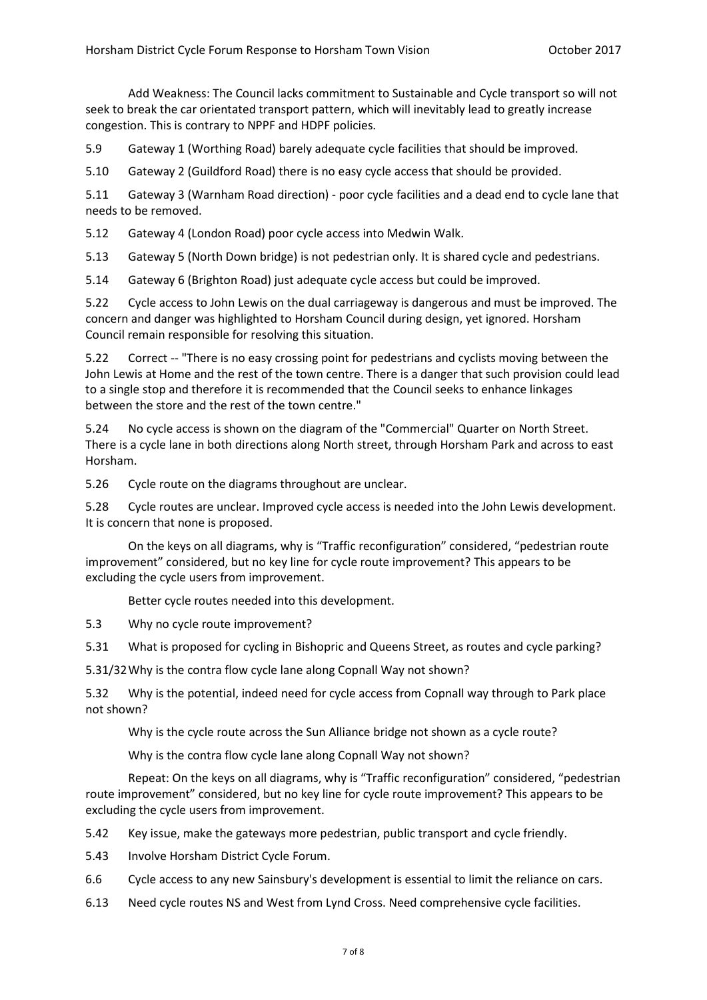Add Weakness: The Council lacks commitment to Sustainable and Cycle transport so will not seek to break the car orientated transport pattern, which will inevitably lead to greatly increase congestion. This is contrary to NPPF and HDPF policies.

5.9 Gateway 1 (Worthing Road) barely adequate cycle facilities that should be improved.

5.10 Gateway 2 (Guildford Road) there is no easy cycle access that should be provided.

5.11 Gateway 3 (Warnham Road direction) - poor cycle facilities and a dead end to cycle lane that needs to be removed.

5.12 Gateway 4 (London Road) poor cycle access into Medwin Walk.

5.13 Gateway 5 (North Down bridge) is not pedestrian only. It is shared cycle and pedestrians.

5.14 Gateway 6 (Brighton Road) just adequate cycle access but could be improved.

5.22 Cycle access to John Lewis on the dual carriageway is dangerous and must be improved. The concern and danger was highlighted to Horsham Council during design, yet ignored. Horsham Council remain responsible for resolving this situation.

5.22 Correct -- "There is no easy crossing point for pedestrians and cyclists moving between the John Lewis at Home and the rest of the town centre. There is a danger that such provision could lead to a single stop and therefore it is recommended that the Council seeks to enhance linkages between the store and the rest of the town centre."

5.24 No cycle access is shown on the diagram of the "Commercial" Quarter on North Street. There is a cycle lane in both directions along North street, through Horsham Park and across to east Horsham.

5.26 Cycle route on the diagrams throughout are unclear.

5.28 Cycle routes are unclear. Improved cycle access is needed into the John Lewis development. It is concern that none is proposed.

On the keys on all diagrams, why is "Traffic reconfiguration" considered, "pedestrian route improvement" considered, but no key line for cycle route improvement? This appears to be excluding the cycle users from improvement.

Better cycle routes needed into this development.

5.3 Why no cycle route improvement?

5.31 What is proposed for cycling in Bishopric and Queens Street, as routes and cycle parking?

5.31/32Why is the contra flow cycle lane along Copnall Way not shown?

5.32 Why is the potential, indeed need for cycle access from Copnall way through to Park place not shown?

Why is the cycle route across the Sun Alliance bridge not shown as a cycle route?

Why is the contra flow cycle lane along Copnall Way not shown?

Repeat: On the keys on all diagrams, why is "Traffic reconfiguration" considered, "pedestrian route improvement" considered, but no key line for cycle route improvement? This appears to be excluding the cycle users from improvement.

- 5.42 Key issue, make the gateways more pedestrian, public transport and cycle friendly.
- 5.43 Involve Horsham District Cycle Forum.
- 6.6 Cycle access to any new Sainsbury's development is essential to limit the reliance on cars.
- 6.13 Need cycle routes NS and West from Lynd Cross. Need comprehensive cycle facilities.